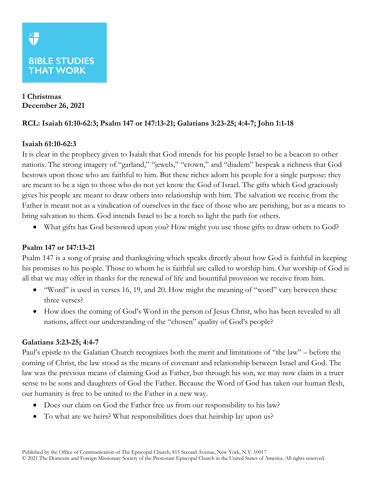# **1 Christmas December 26, 2021**

**THAT WORK** 

## **RCL: Isaiah 61:10-62:3; Psalm 147 or 147:13-21; Galatians 3:23-25; 4:4-7; John 1:1-18**

### **Isaiah 61:10-62:3**

It is clear in the prophecy given to Isaiah that God intends for his people Israel to be a beacon to other nations. The strong imagery of "garland," "jewels," "crown," and "diadem" bespeak a richness that God bestows upon those who are faithful to him. But these riches adorn his people for a single purpose: they are meant to be a sign to those who do not yet know the God of Israel. The gifts which God graciously gives his people are meant to draw others into relationship with him. The salvation we receive from the Father is meant not as a vindication of ourselves in the face of those who are perishing, but as a means to bring salvation to them. God intends Israel to be a torch to light the path for others.

• What gifts has God bestowed upon you? How might you use those gifts to draw others to God?

### **Psalm 147 or 147:13-21**

Psalm 147 is a song of praise and thanksgiving which speaks directly about how God is faithful in keeping his promises to his people. Those to whom he is faithful are called to worship him. Our worship of God is all that we may offer in thanks for the renewal of life and bountiful provision we receive from him.

- "Word" is used in verses 16, 19, and 20. How might the meaning of "word" vary between these three verses?
- How does the coming of God's Word in the person of Jesus Christ, who has been revealed to all nations, affect our understanding of the "chosen" quality of God's people?

### **Galatians 3:23-25; 4:4-7**

Paul's epistle to the Galatian Church recognizes both the merit and limitations of "the law" – before the coming of Christ, the law stood as the means of covenant and relationship between Israel and God. The law was the previous means of claiming God as Father, but through his son, we may now claim in a truer sense to be sons and daughters of God the Father. Because the Word of God has taken our human flesh, our humanity is free to be united to the Father in a new way.

- Does our claim on God the Father free us from our responsibility to his law?
- To what are we heirs? What responsibilities does that heirship lay upon us?